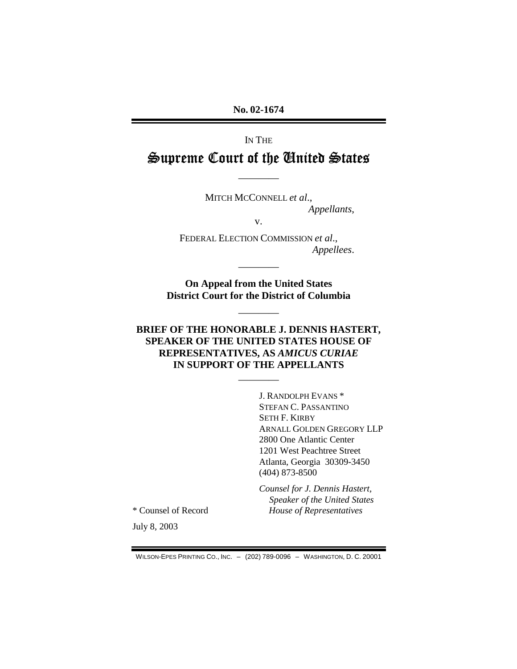No. 02-1674

IN THE Supreme Court of the United States

> MITCH MCCONNELL et al., Appellants,

> > $V_{\bullet}$

FEDERAL ELECTION COMMISSION et al., Appellees.

On Appeal from the United States **District Court for the District of Columbia** 

## BRIEF OF THE HONORABLE J. DENNIS HASTERT, **SPEAKER OF THE UNITED STATES HOUSE OF** REPRESENTATIVES, AS AMICUS CURIAE IN SUPPORT OF THE APPELLANTS

J. RANDOLPH EVANS<sup>\*</sup> STEFAN C. PASSANTINO **SETH F. KIRBY ARNALL GOLDEN GREGORY LLP** 2800 One Atlantic Center 1201 West Peachtree Street Atlanta, Georgia 30309-3450  $(404)$  873-8500

Counsel for J. Dennis Hastert, Speaker of the United States House of Representatives

\* Counsel of Record

July 8, 2003

WILSON-EPES PRINTING CO., INC. - (202) 789-0096 - WASHINGTON, D. C. 20001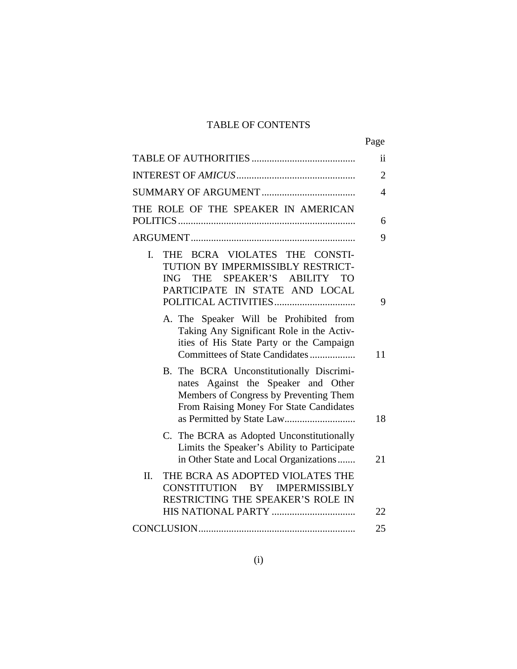## TABLE OF CONTENTS

|                                                                                                                                                                      | Page           |
|----------------------------------------------------------------------------------------------------------------------------------------------------------------------|----------------|
|                                                                                                                                                                      | ii             |
|                                                                                                                                                                      | $\overline{2}$ |
|                                                                                                                                                                      | $\overline{4}$ |
| THE ROLE OF THE SPEAKER IN AMERICAN                                                                                                                                  | 6              |
|                                                                                                                                                                      | 9              |
| THE BCRA VIOLATES THE CONSTI-<br>I.<br>TUTION BY IMPERMISSIBLY RESTRICT-<br>SPEAKER'S ABILITY TO<br><b>ING</b><br><b>THE</b><br>PARTICIPATE IN STATE AND LOCAL       | 9              |
| A. The Speaker Will be Prohibited from<br>Taking Any Significant Role in the Activ-<br>ities of His State Party or the Campaign<br>Committees of State Candidates    | 11             |
| B. The BCRA Unconstitutionally Discrimi-<br>nates Against the Speaker and Other<br>Members of Congress by Preventing Them<br>From Raising Money For State Candidates | 18             |
| C. The BCRA as Adopted Unconstitutionally<br>Limits the Speaker's Ability to Participate<br>in Other State and Local Organizations                                   | 21             |
| THE BCRA AS ADOPTED VIOLATES THE<br>II.<br>CONSTITUTION BY IMPERMISSIBLY<br>RESTRICTING THE SPEAKER'S ROLE IN                                                        |                |
|                                                                                                                                                                      | 22             |
|                                                                                                                                                                      | 25             |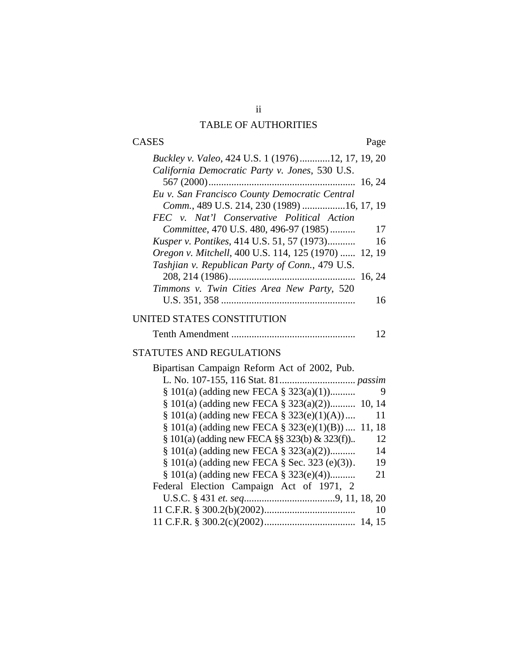## TABLE OF AUTHORITIES

## CASES Page

| Buckley v. Valeo, 424 U.S. 1 (1976)12, 17, 19, 20       |
|---------------------------------------------------------|
| California Democratic Party v. Jones, 530 U.S.          |
|                                                         |
| Eu v. San Francisco County Democratic Central           |
| Comm., 489 U.S. 214, 230 (1989) 16, 17, 19              |
| FEC v. Nat'l Conservative Political Action              |
| Committee, 470 U.S. 480, 496-97 (1985)<br>17            |
| <i>Kusper v. Pontikes, 414 U.S. 51, 57 (1973)</i><br>16 |
| Oregon v. Mitchell, 400 U.S. 114, 125 (1970)  12, 19    |
| Tashjian v. Republican Party of Conn., 479 U.S.         |
| 16, 24                                                  |
| Timmons v. Twin Cities Area New Party, 520              |
| 16                                                      |
| EN GEATER COMGETEURIC                                   |

## UNITED STATES CONSTITUTION

|--|--|--|

## STATUTES AND REGULATIONS

| Bipartisan Campaign Reform Act of 2002, Pub.               |
|------------------------------------------------------------|
|                                                            |
| $\S 101(a)$ (adding new FECA $\S 323(a)(1)$ )<br>9         |
| $\S$ 101(a) (adding new FECA $\S$ 323(a)(2)) 10, 14        |
| $\S 101(a)$ (adding new FECA $\S 323(e)(1)(A)$ )<br>11     |
| $\S 101(a)$ (adding new FECA $\S 323(e)(1)(B)$ ) 11, 18    |
| $\S$ 101(a) (adding new FECA $\S$ § 323(b) & 323(f))<br>12 |
| $§ 101(a)$ (adding new FECA $§ 323(a)(2)$ )<br>14          |
| $\S$ 101(a) (adding new FECA $\S$ Sec. 323 (e)(3)).<br>19  |
| $§ 101(a)$ (adding new FECA $§ 323(e)(4)$ )<br>21          |
| Federal Election Campaign Act of 1971, 2                   |
|                                                            |
| 10                                                         |
|                                                            |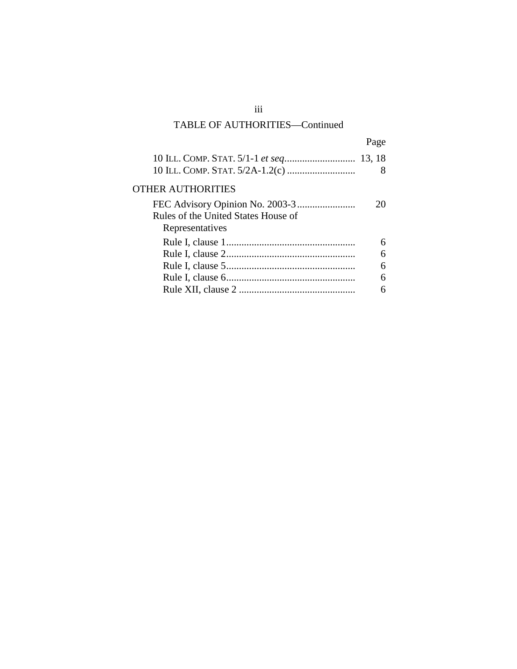## TABLE OF AUTHORITIES—Continued

|                                                        | Page |  |
|--------------------------------------------------------|------|--|
|                                                        | 8    |  |
| <b>OTHER AUTHORITIES</b>                               |      |  |
| Rules of the United States House of<br>Representatives | 20   |  |
|                                                        | 6    |  |
|                                                        | 6    |  |
|                                                        | 6    |  |
|                                                        | 6    |  |
|                                                        | 6    |  |

iii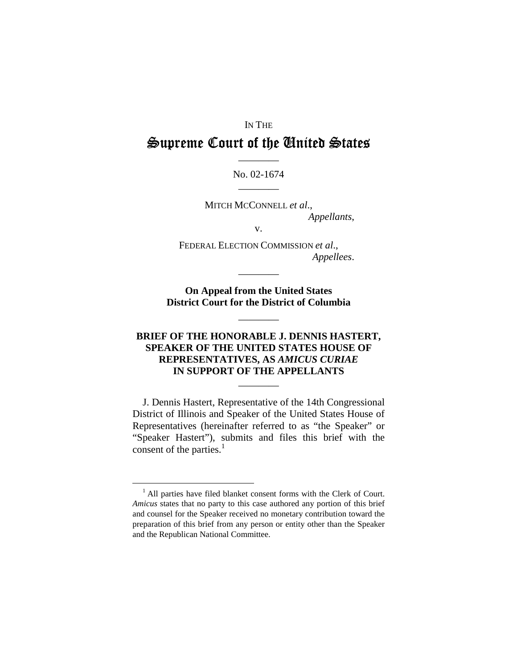#### IN THE

# Supreme Court of the United States

### No. 02-1674

MITCH MCCONNELL et al., Appellants,

 $V_{\bullet}$ 

FEDERAL ELECTION COMMISSION et al., Appellees.

**On Appeal from the United States District Court for the District of Columbia** 

### **BRIEF OF THE HONORABLE J. DENNIS HASTERT,** SPEAKER OF THE UNITED STATES HOUSE OF REPRESENTATIVES, AS AMICUS CURIAE IN SUPPORT OF THE APPELLANTS

J. Dennis Hastert, Representative of the 14th Congressional District of Illinois and Speaker of the United States House of Representatives (hereinafter referred to as "the Speaker" or "Speaker Hastert"), submits and files this brief with the consent of the parties. $<sup>1</sup>$ </sup>

<sup>&</sup>lt;sup>1</sup> All parties have filed blanket consent forms with the Clerk of Court. Amicus states that no party to this case authored any portion of this brief and counsel for the Speaker received no monetary contribution toward the preparation of this brief from any person or entity other than the Speaker and the Republican National Committee.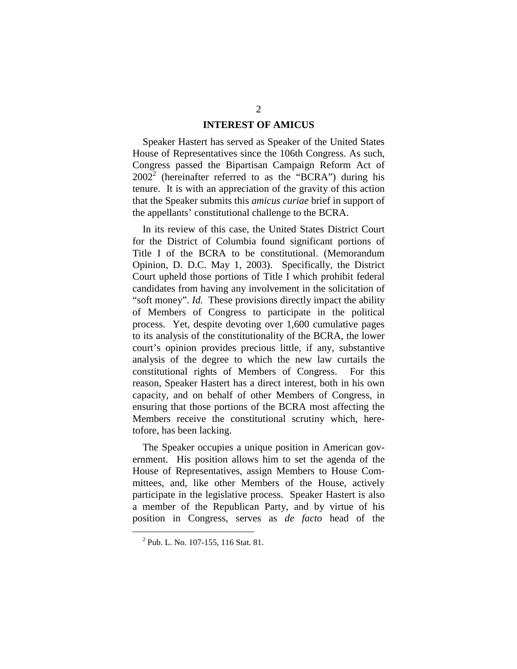#### **INTEREST OF AMICUS**

Speaker Hastert has served as Speaker of the United States House of Representatives since the 106th Congress. As such, Congress passed the Bipartisan Campaign Reform Act of  $2002^2$  (hereinafter referred to as the "BCRA") during his tenure. It is with an appreciation of the gravity of this action that the Speaker submits this *amicus curiae* brief in support of the appellants' constitutional challenge to the BCRA.

In its review of this case, the United States District Court for the District of Columbia found significant portions of Title I of the BCRA to be constitutional. (Memorandum Opinion, D. D.C. May 1, 2003). Specifically, the District Court upheld those portions of Title I which prohibit federal candidates from having any involvement in the solicitation of "soft money". *Id.* These provisions directly impact the ability of Members of Congress to participate in the political process. Yet, despite devoting over 1,600 cumulative pages to its analysis of the constitutionality of the BCRA, the lower court's opinion provides precious little, if any, substantive analysis of the degree to which the new law curtails the constitutional rights of Members of Congress. For this reason, Speaker Hastert has a direct interest, both in his own capacity, and on behalf of other Members of Congress, in ensuring that those portions of the BCRA most affecting the Members receive the constitutional scrutiny which, heretofore, has been lacking.

The Speaker occupies a unique position in American government. His position allows him to set the agenda of the House of Representatives, assign Members to House Committees, and, like other Members of the House, actively participate in the legislative process. Speaker Hastert is also a member of the Republican Party, and by virtue of his position in Congress, serves as *de facto* head of the

<sup>&</sup>lt;sup>2</sup> Pub. L. No. 107-155, 116 Stat. 81.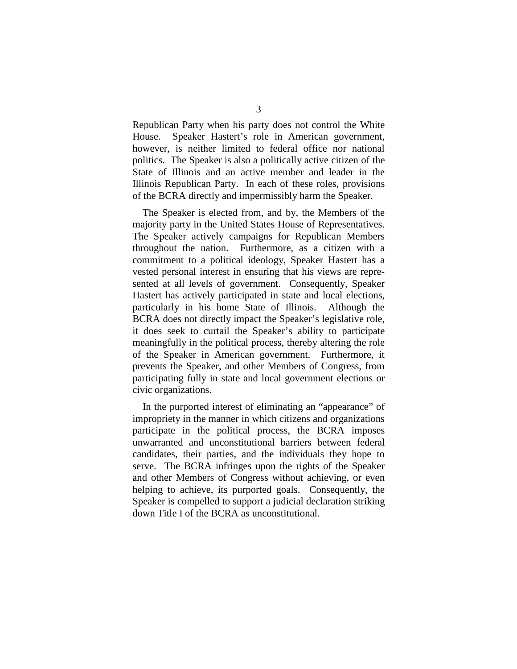Republican Party when his party does not control the White House. Speaker Hastert's role in American government, however, is neither limited to federal office nor national politics. The Speaker is also a politically active citizen of the State of Illinois and an active member and leader in the Illinois Republican Party. In each of these roles, provisions of the BCRA directly and impermissibly harm the Speaker.

The Speaker is elected from, and by, the Members of the majority party in the United States House of Representatives. The Speaker actively campaigns for Republican Members throughout the nation. Furthermore, as a citizen with a commitment to a political ideology, Speaker Hastert has a vested personal interest in ensuring that his views are represented at all levels of government. Consequently, Speaker Hastert has actively participated in state and local elections, particularly in his home State of Illinois. Although the BCRA does not directly impact the Speaker's legislative role, it does seek to curtail the Speaker's ability to participate meaningfully in the political process, thereby altering the role of the Speaker in American government. Furthermore, it prevents the Speaker, and other Members of Congress, from participating fully in state and local government elections or civic organizations.

In the purported interest of eliminating an "appearance" of impropriety in the manner in which citizens and organizations participate in the political process, the BCRA imposes unwarranted and unconstitutional barriers between federal candidates, their parties, and the individuals they hope to serve. The BCRA infringes upon the rights of the Speaker and other Members of Congress without achieving, or even helping to achieve, its purported goals. Consequently, the Speaker is compelled to support a judicial declaration striking down Title I of the BCRA as unconstitutional.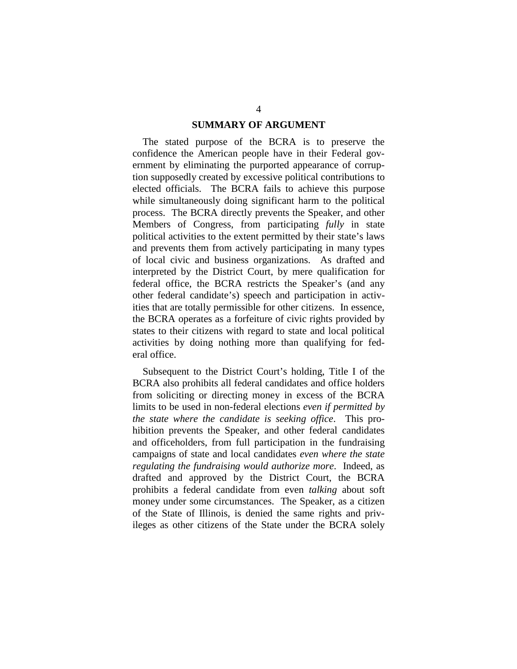#### **SUMMARY OF ARGUMENT**

The stated purpose of the BCRA is to preserve the confidence the American people have in their Federal government by eliminating the purported appearance of corruption supposedly created by excessive political contributions to elected officials. The BCRA fails to achieve this purpose while simultaneously doing significant harm to the political process. The BCRA directly prevents the Speaker, and other Members of Congress, from participating *fully* in state political activities to the extent permitted by their state's laws and prevents them from actively participating in many types of local civic and business organizations. As drafted and interpreted by the District Court, by mere qualification for federal office, the BCRA restricts the Speaker's (and any other federal candidate's) speech and participation in activities that are totally permissible for other citizens. In essence, the BCRA operates as a forfeiture of civic rights provided by states to their citizens with regard to state and local political activities by doing nothing more than qualifying for federal office.

Subsequent to the District Court's holding, Title I of the BCRA also prohibits all federal candidates and office holders from soliciting or directing money in excess of the BCRA limits to be used in non-federal elections *even if permitted by the state where the candidate is seeking office*. This prohibition prevents the Speaker, and other federal candidates and officeholders, from full participation in the fundraising campaigns of state and local candidates *even where the state regulating the fundraising would authorize more*. Indeed, as drafted and approved by the District Court, the BCRA prohibits a federal candidate from even *talking* about soft money under some circumstances. The Speaker, as a citizen of the State of Illinois, is denied the same rights and privileges as other citizens of the State under the BCRA solely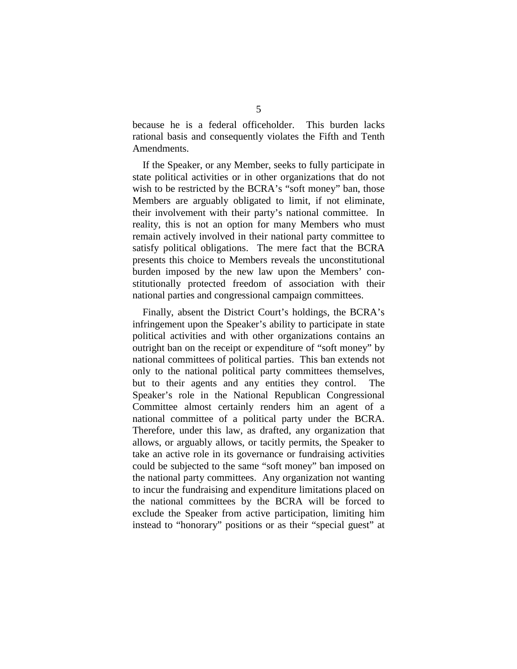because he is a federal officeholder. This burden lacks rational basis and consequently violates the Fifth and Tenth Amendments.

If the Speaker, or any Member, seeks to fully participate in state political activities or in other organizations that do not wish to be restricted by the BCRA's "soft money" ban, those Members are arguably obligated to limit, if not eliminate, their involvement with their party's national committee. In reality, this is not an option for many Members who must remain actively involved in their national party committee to satisfy political obligations. The mere fact that the BCRA presents this choice to Members reveals the unconstitutional burden imposed by the new law upon the Members' constitutionally protected freedom of association with their national parties and congressional campaign committees.

Finally, absent the District Court's holdings, the BCRA's infringement upon the Speaker's ability to participate in state political activities and with other organizations contains an outright ban on the receipt or expenditure of "soft money" by national committees of political parties. This ban extends not only to the national political party committees themselves, but to their agents and any entities they control. The Speaker's role in the National Republican Congressional Committee almost certainly renders him an agent of a national committee of a political party under the BCRA. Therefore, under this law, as drafted, any organization that allows, or arguably allows, or tacitly permits, the Speaker to take an active role in its governance or fundraising activities could be subjected to the same "soft money" ban imposed on the national party committees. Any organization not wanting to incur the fundraising and expenditure limitations placed on the national committees by the BCRA will be forced to exclude the Speaker from active participation, limiting him instead to "honorary" positions or as their "special guest" at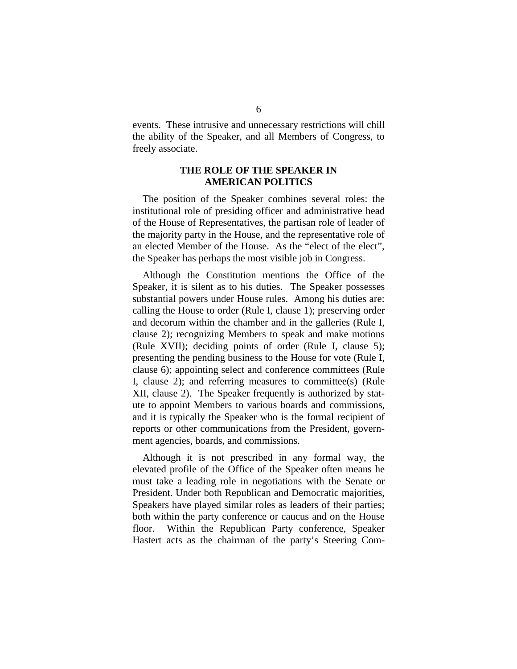events. These intrusive and unnecessary restrictions will chill the ability of the Speaker, and all Members of Congress, to freely associate.

### **THE ROLE OF THE SPEAKER IN AMERICAN POLITICS**

The position of the Speaker combines several roles: the institutional role of presiding officer and administrative head of the House of Representatives, the partisan role of leader of the majority party in the House, and the representative role of an elected Member of the House. As the "elect of the elect", the Speaker has perhaps the most visible job in Congress.

Although the Constitution mentions the Office of the Speaker, it is silent as to his duties. The Speaker possesses substantial powers under House rules. Among his duties are: calling the House to order (Rule I, clause 1); preserving order and decorum within the chamber and in the galleries (Rule I, clause 2); recognizing Members to speak and make motions (Rule XVII); deciding points of order (Rule I, clause 5); presenting the pending business to the House for vote (Rule I, clause 6); appointing select and conference committees (Rule I, clause 2); and referring measures to committee(s) (Rule XII, clause 2). The Speaker frequently is authorized by statute to appoint Members to various boards and commissions, and it is typically the Speaker who is the formal recipient of reports or other communications from the President, government agencies, boards, and commissions.

Although it is not prescribed in any formal way, the elevated profile of the Office of the Speaker often means he must take a leading role in negotiations with the Senate or President. Under both Republican and Democratic majorities, Speakers have played similar roles as leaders of their parties; both within the party conference or caucus and on the House floor. Within the Republican Party conference, Speaker Hastert acts as the chairman of the party's Steering Com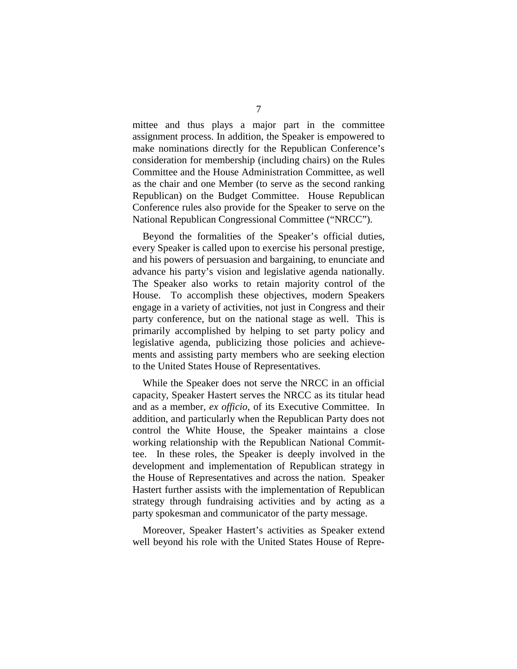mittee and thus plays a major part in the committee assignment process. In addition, the Speaker is empowered to make nominations directly for the Republican Conference's consideration for membership (including chairs) on the Rules Committee and the House Administration Committee, as well as the chair and one Member (to serve as the second ranking Republican) on the Budget Committee. House Republican Conference rules also provide for the Speaker to serve on the National Republican Congressional Committee ("NRCC").

Beyond the formalities of the Speaker's official duties, every Speaker is called upon to exercise his personal prestige, and his powers of persuasion and bargaining, to enunciate and advance his party's vision and legislative agenda nationally. The Speaker also works to retain majority control of the House. To accomplish these objectives, modern Speakers engage in a variety of activities, not just in Congress and their party conference, but on the national stage as well. This is primarily accomplished by helping to set party policy and legislative agenda, publicizing those policies and achievements and assisting party members who are seeking election to the United States House of Representatives.

While the Speaker does not serve the NRCC in an official capacity, Speaker Hastert serves the NRCC as its titular head and as a member, *ex officio*, of its Executive Committee. In addition, and particularly when the Republican Party does not control the White House, the Speaker maintains a close working relationship with the Republican National Committee. In these roles, the Speaker is deeply involved in the development and implementation of Republican strategy in the House of Representatives and across the nation. Speaker Hastert further assists with the implementation of Republican strategy through fundraising activities and by acting as a party spokesman and communicator of the party message.

Moreover, Speaker Hastert's activities as Speaker extend well beyond his role with the United States House of Repre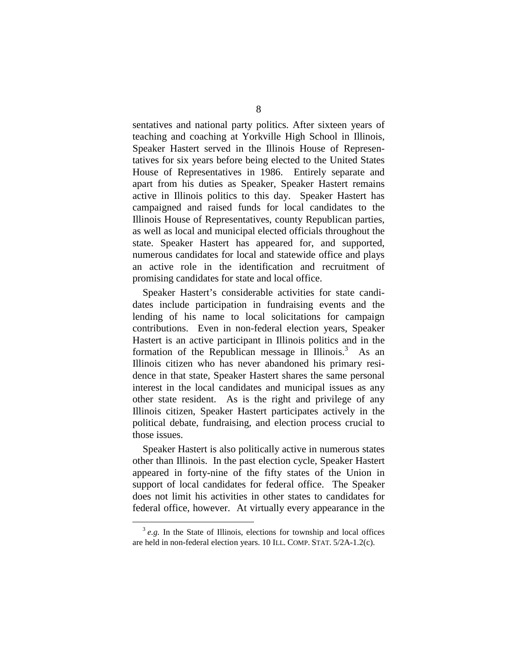sentatives and national party politics. After sixteen years of teaching and coaching at Yorkville High School in Illinois, Speaker Hastert served in the Illinois House of Representatives for six years before being elected to the United States House of Representatives in 1986. Entirely separate and apart from his duties as Speaker, Speaker Hastert remains active in Illinois politics to this day. Speaker Hastert has campaigned and raised funds for local candidates to the Illinois House of Representatives, county Republican parties, as well as local and municipal elected officials throughout the state. Speaker Hastert has appeared for, and supported, numerous candidates for local and statewide office and plays an active role in the identification and recruitment of promising candidates for state and local office.

Speaker Hastert's considerable activities for state candidates include participation in fundraising events and the lending of his name to local solicitations for campaign contributions. Even in non-federal election years, Speaker Hastert is an active participant in Illinois politics and in the formation of the Republican message in Illinois.<sup>3</sup> As an Illinois citizen who has never abandoned his primary residence in that state, Speaker Hastert shares the same personal interest in the local candidates and municipal issues as any other state resident. As is the right and privilege of any Illinois citizen, Speaker Hastert participates actively in the political debate, fundraising, and election process crucial to those issues.

Speaker Hastert is also politically active in numerous states other than Illinois. In the past election cycle, Speaker Hastert appeared in forty-nine of the fifty states of the Union in support of local candidates for federal office. The Speaker does not limit his activities in other states to candidates for federal office, however. At virtually every appearance in the

<sup>&</sup>lt;sup>3</sup> e.g. In the State of Illinois, elections for township and local offices are held in non-federal election years. 10 ILL. COMP. STAT. 5/2A-1.2(c).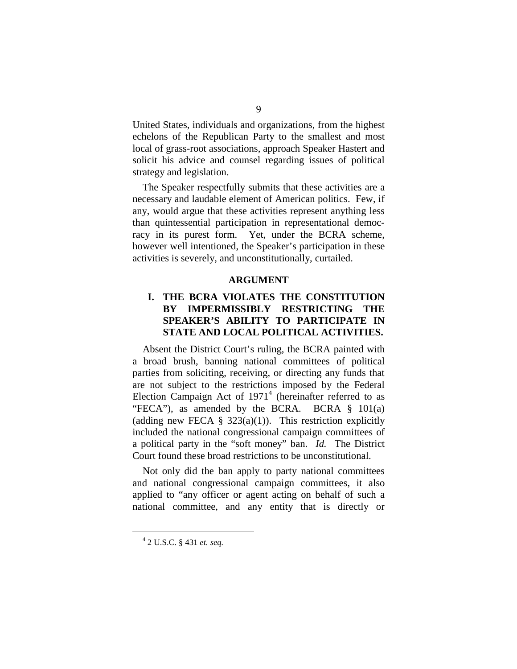United States, individuals and organizations, from the highest echelons of the Republican Party to the smallest and most local of grass-root associations, approach Speaker Hastert and solicit his advice and counsel regarding issues of political strategy and legislation.

The Speaker respectfully submits that these activities are a necessary and laudable element of American politics. Few, if any, would argue that these activities represent anything less than quintessential participation in representational democracy in its purest form. Yet, under the BCRA scheme, however well intentioned, the Speaker's participation in these activities is severely, and unconstitutionally, curtailed.

#### **ARGUMENT**

## **I. THE BCRA VIOLATES THE CONSTITUTION BY IMPERMISSIBLY RESTRICTING THE SPEAKER'S ABILITY TO PARTICIPATE IN STATE AND LOCAL POLITICAL ACTIVITIES.**

Absent the District Court's ruling, the BCRA painted with a broad brush, banning national committees of political parties from soliciting, receiving, or directing any funds that are not subject to the restrictions imposed by the Federal Election Campaign Act of  $1971<sup>4</sup>$  (hereinafter referred to as "FECA"), as amended by the BCRA. BCRA § 101(a) (adding new FECA  $\S$  323(a)(1)). This restriction explicitly included the national congressional campaign committees of a political party in the "soft money" ban. *Id.* The District Court found these broad restrictions to be unconstitutional.

Not only did the ban apply to party national committees and national congressional campaign committees, it also applied to "any officer or agent acting on behalf of such a national committee, and any entity that is directly or

<sup>4</sup> 2 U.S.C. § 431 *et. seq.*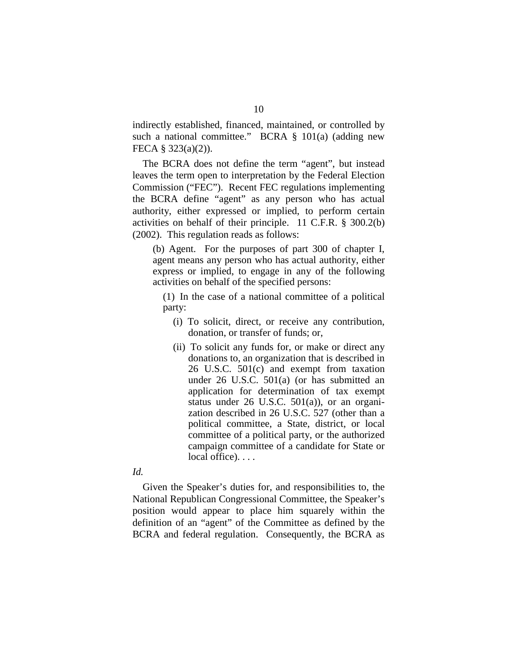indirectly established, financed, maintained, or controlled by such a national committee." BCRA § 101(a) (adding new FECA § 323(a)(2)).

The BCRA does not define the term "agent", but instead leaves the term open to interpretation by the Federal Election Commission ("FEC"). Recent FEC regulations implementing the BCRA define "agent" as any person who has actual authority, either expressed or implied, to perform certain activities on behalf of their principle. 11 C.F.R. § 300.2(b) (2002). This regulation reads as follows:

(b) Agent. For the purposes of part 300 of chapter I, agent means any person who has actual authority, either express or implied, to engage in any of the following activities on behalf of the specified persons:

(1) In the case of a national committee of a political party:

- (i) To solicit, direct, or receive any contribution, donation, or transfer of funds; or,
- (ii) To solicit any funds for, or make or direct any donations to, an organization that is described in 26 U.S.C. 501(c) and exempt from taxation under 26 U.S.C. 501(a) (or has submitted an application for determination of tax exempt status under 26 U.S.C. 501(a)), or an organization described in 26 U.S.C. 527 (other than a political committee, a State, district, or local committee of a political party, or the authorized campaign committee of a candidate for State or local office)...

#### *Id.*

Given the Speaker's duties for, and responsibilities to, the National Republican Congressional Committee, the Speaker's position would appear to place him squarely within the definition of an "agent" of the Committee as defined by the BCRA and federal regulation. Consequently, the BCRA as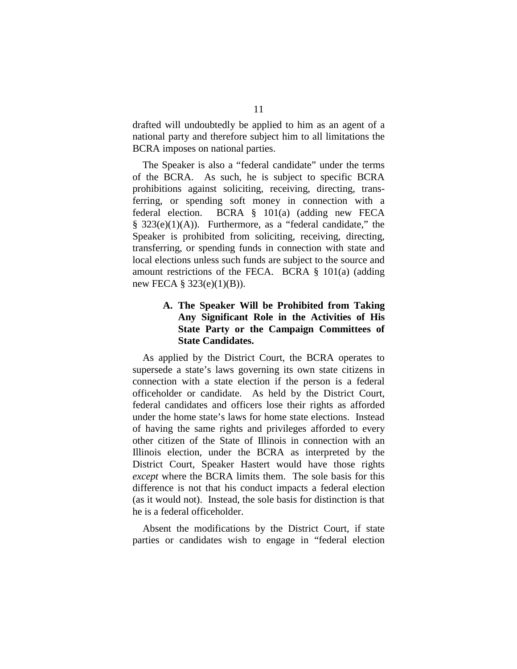drafted will undoubtedly be applied to him as an agent of a national party and therefore subject him to all limitations the BCRA imposes on national parties.

The Speaker is also a "federal candidate" under the terms of the BCRA. As such, he is subject to specific BCRA prohibitions against soliciting, receiving, directing, transferring, or spending soft money in connection with a federal election. BCRA § 101(a) (adding new FECA  $§$  323(e)(1)(A)). Furthermore, as a "federal candidate," the Speaker is prohibited from soliciting, receiving, directing, transferring, or spending funds in connection with state and local elections unless such funds are subject to the source and amount restrictions of the FECA. BCRA § 101(a) (adding new FECA  $\S$  323(e)(1)(B)).

## **A. The Speaker Will be Prohibited from Taking Any Significant Role in the Activities of His State Party or the Campaign Committees of State Candidates.**

As applied by the District Court, the BCRA operates to supersede a state's laws governing its own state citizens in connection with a state election if the person is a federal officeholder or candidate. As held by the District Court, federal candidates and officers lose their rights as afforded under the home state's laws for home state elections. Instead of having the same rights and privileges afforded to every other citizen of the State of Illinois in connection with an Illinois election, under the BCRA as interpreted by the District Court, Speaker Hastert would have those rights *except* where the BCRA limits them. The sole basis for this difference is not that his conduct impacts a federal election (as it would not). Instead, the sole basis for distinction is that he is a federal officeholder.

Absent the modifications by the District Court, if state parties or candidates wish to engage in "federal election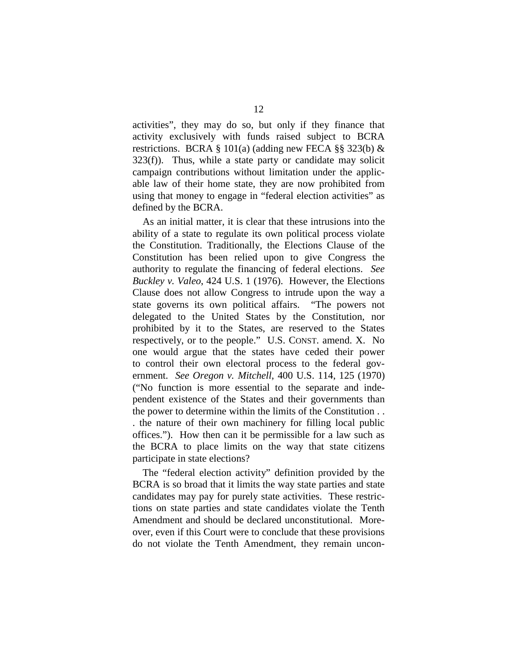activities", they may do so, but only if they finance that activity exclusively with funds raised subject to BCRA restrictions. BCRA § 101(a) (adding new FECA §§ 323(b)  $\&$  $323(f)$ ). Thus, while a state party or candidate may solicit campaign contributions without limitation under the applicable law of their home state, they are now prohibited from using that money to engage in "federal election activities" as defined by the BCRA.

As an initial matter, it is clear that these intrusions into the ability of a state to regulate its own political process violate the Constitution. Traditionally, the Elections Clause of the Constitution has been relied upon to give Congress the authority to regulate the financing of federal elections. *See Buckley v. Valeo*, 424 U.S. 1 (1976). However, the Elections Clause does not allow Congress to intrude upon the way a state governs its own political affairs. "The powers not delegated to the United States by the Constitution, nor prohibited by it to the States, are reserved to the States respectively, or to the people." U.S. CONST. amend. X. No one would argue that the states have ceded their power to control their own electoral process to the federal government. *See Oregon v. Mitchell*, 400 U.S. 114, 125 (1970) ("No function is more essential to the separate and independent existence of the States and their governments than the power to determine within the limits of the Constitution . . . the nature of their own machinery for filling local public offices."). How then can it be permissible for a law such as the BCRA to place limits on the way that state citizens participate in state elections?

The "federal election activity" definition provided by the BCRA is so broad that it limits the way state parties and state candidates may pay for purely state activities. These restrictions on state parties and state candidates violate the Tenth Amendment and should be declared unconstitutional. Moreover, even if this Court were to conclude that these provisions do not violate the Tenth Amendment, they remain uncon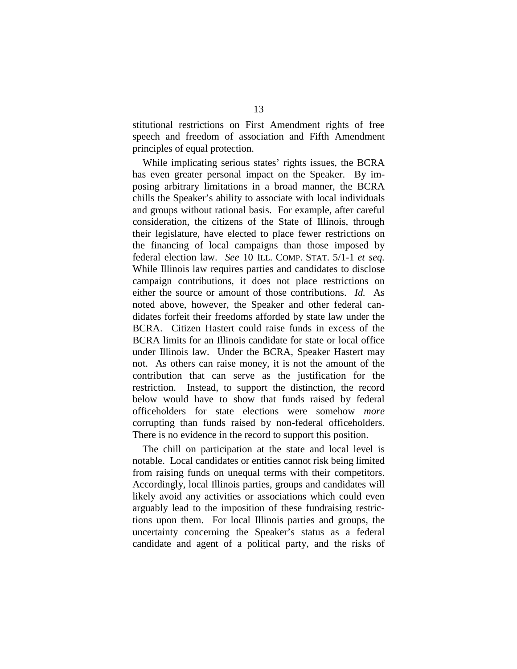stitutional restrictions on First Amendment rights of free speech and freedom of association and Fifth Amendment principles of equal protection.

While implicating serious states' rights issues, the BCRA has even greater personal impact on the Speaker. By imposing arbitrary limitations in a broad manner, the BCRA chills the Speaker's ability to associate with local individuals and groups without rational basis. For example, after careful consideration, the citizens of the State of Illinois, through their legislature, have elected to place fewer restrictions on the financing of local campaigns than those imposed by federal election law. *See* 10 ILL. COMP. STAT. 5/1-1 *et seq.*  While Illinois law requires parties and candidates to disclose campaign contributions, it does not place restrictions on either the source or amount of those contributions. *Id.* As noted above, however, the Speaker and other federal candidates forfeit their freedoms afforded by state law under the BCRA. Citizen Hastert could raise funds in excess of the BCRA limits for an Illinois candidate for state or local office under Illinois law. Under the BCRA, Speaker Hastert may not. As others can raise money, it is not the amount of the contribution that can serve as the justification for the restriction. Instead, to support the distinction, the record below would have to show that funds raised by federal officeholders for state elections were somehow *more*  corrupting than funds raised by non-federal officeholders. There is no evidence in the record to support this position.

The chill on participation at the state and local level is notable. Local candidates or entities cannot risk being limited from raising funds on unequal terms with their competitors. Accordingly, local Illinois parties, groups and candidates will likely avoid any activities or associations which could even arguably lead to the imposition of these fundraising restrictions upon them. For local Illinois parties and groups, the uncertainty concerning the Speaker's status as a federal candidate and agent of a political party, and the risks of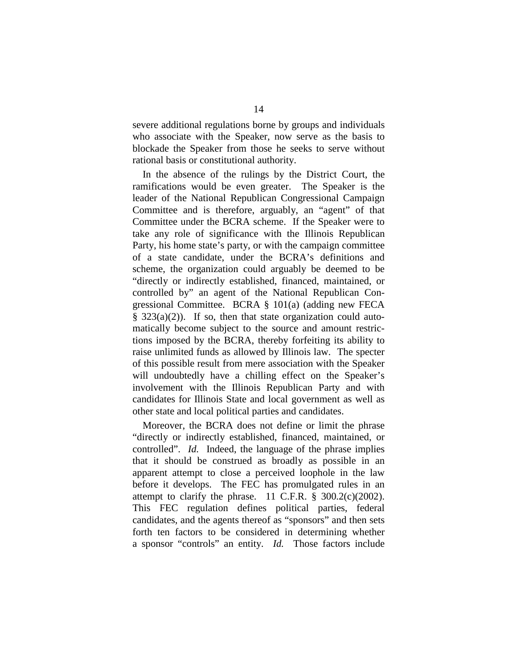severe additional regulations borne by groups and individuals who associate with the Speaker, now serve as the basis to blockade the Speaker from those he seeks to serve without rational basis or constitutional authority.

In the absence of the rulings by the District Court, the ramifications would be even greater. The Speaker is the leader of the National Republican Congressional Campaign Committee and is therefore, arguably, an "agent" of that Committee under the BCRA scheme. If the Speaker were to take any role of significance with the Illinois Republican Party, his home state's party, or with the campaign committee of a state candidate, under the BCRA's definitions and scheme, the organization could arguably be deemed to be "directly or indirectly established, financed, maintained, or controlled by" an agent of the National Republican Congressional Committee. BCRA § 101(a) (adding new FECA § 323(a)(2)). If so, then that state organization could automatically become subject to the source and amount restrictions imposed by the BCRA, thereby forfeiting its ability to raise unlimited funds as allowed by Illinois law. The specter of this possible result from mere association with the Speaker will undoubtedly have a chilling effect on the Speaker's involvement with the Illinois Republican Party and with candidates for Illinois State and local government as well as other state and local political parties and candidates.

Moreover, the BCRA does not define or limit the phrase "directly or indirectly established, financed, maintained, or controlled". *Id.* Indeed, the language of the phrase implies that it should be construed as broadly as possible in an apparent attempt to close a perceived loophole in the law before it develops. The FEC has promulgated rules in an attempt to clarify the phrase. 11 C.F.R.  $\S$  300.2(c)(2002). This FEC regulation defines political parties, federal candidates, and the agents thereof as "sponsors" and then sets forth ten factors to be considered in determining whether a sponsor "controls" an entity. *Id.* Those factors include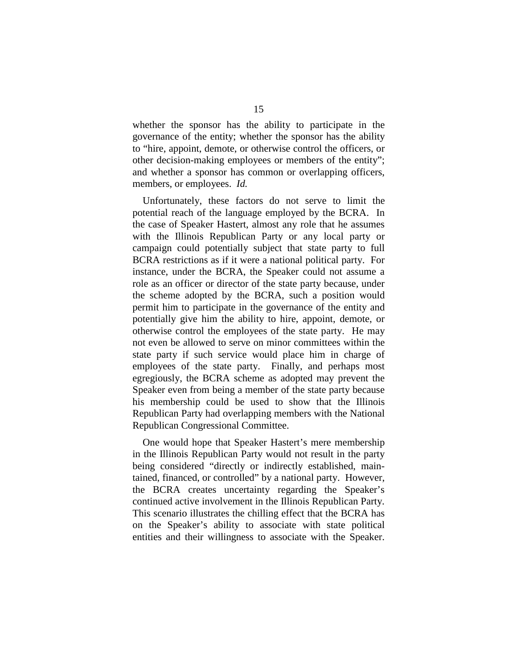whether the sponsor has the ability to participate in the governance of the entity; whether the sponsor has the ability to "hire, appoint, demote, or otherwise control the officers, or other decision-making employees or members of the entity"; and whether a sponsor has common or overlapping officers, members, or employees. *Id.* 

Unfortunately, these factors do not serve to limit the potential reach of the language employed by the BCRA. In the case of Speaker Hastert, almost any role that he assumes with the Illinois Republican Party or any local party or campaign could potentially subject that state party to full BCRA restrictions as if it were a national political party. For instance, under the BCRA, the Speaker could not assume a role as an officer or director of the state party because, under the scheme adopted by the BCRA, such a position would permit him to participate in the governance of the entity and potentially give him the ability to hire, appoint, demote, or otherwise control the employees of the state party. He may not even be allowed to serve on minor committees within the state party if such service would place him in charge of employees of the state party. Finally, and perhaps most egregiously, the BCRA scheme as adopted may prevent the Speaker even from being a member of the state party because his membership could be used to show that the Illinois Republican Party had overlapping members with the National Republican Congressional Committee.

One would hope that Speaker Hastert's mere membership in the Illinois Republican Party would not result in the party being considered "directly or indirectly established, maintained, financed, or controlled" by a national party. However, the BCRA creates uncertainty regarding the Speaker's continued active involvement in the Illinois Republican Party. This scenario illustrates the chilling effect that the BCRA has on the Speaker's ability to associate with state political entities and their willingness to associate with the Speaker.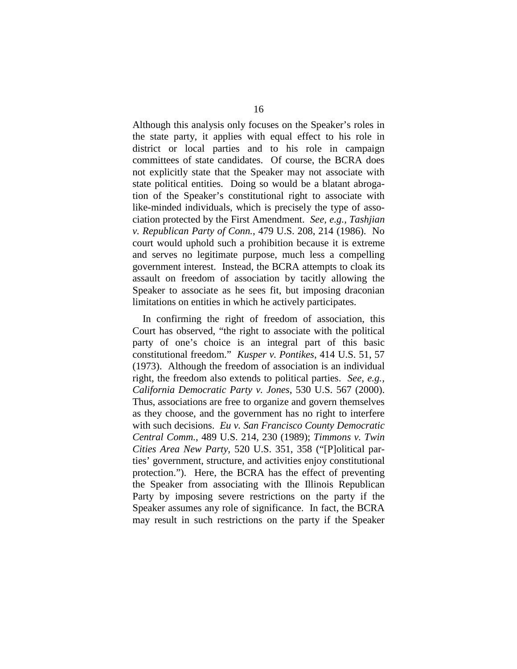Although this analysis only focuses on the Speaker's roles in the state party, it applies with equal effect to his role in district or local parties and to his role in campaign committees of state candidates. Of course, the BCRA does not explicitly state that the Speaker may not associate with state political entities. Doing so would be a blatant abrogation of the Speaker's constitutional right to associate with like-minded individuals, which is precisely the type of association protected by the First Amendment. *See, e.g., Tashjian v. Republican Party of Conn.*, 479 U.S. 208, 214 (1986). No court would uphold such a prohibition because it is extreme and serves no legitimate purpose, much less a compelling government interest. Instead, the BCRA attempts to cloak its assault on freedom of association by tacitly allowing the Speaker to associate as he sees fit, but imposing draconian limitations on entities in which he actively participates.

In confirming the right of freedom of association, this Court has observed, "the right to associate with the political party of one's choice is an integral part of this basic constitutional freedom." *Kusper v. Pontikes*, 414 U.S. 51, 57 (1973). Although the freedom of association is an individual right, the freedom also extends to political parties. *See, e.g., California Democratic Party v. Jones*, 530 U.S. 567 (2000). Thus, associations are free to organize and govern themselves as they choose, and the government has no right to interfere with such decisions. *Eu v. San Francisco County Democratic Central Comm.*, 489 U.S. 214, 230 (1989); *Timmons v. Twin Cities Area New Party*, 520 U.S. 351, 358 ("[P]olitical parties' government, structure, and activities enjoy constitutional protection."). Here, the BCRA has the effect of preventing the Speaker from associating with the Illinois Republican Party by imposing severe restrictions on the party if the Speaker assumes any role of significance. In fact, the BCRA may result in such restrictions on the party if the Speaker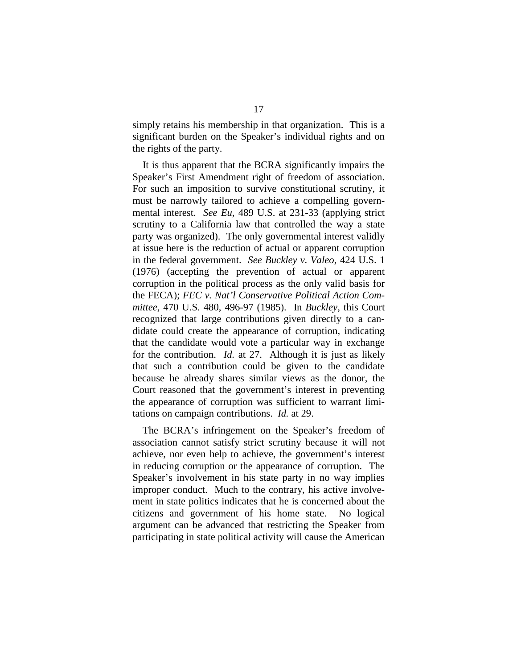simply retains his membership in that organization. This is a significant burden on the Speaker's individual rights and on the rights of the party.

It is thus apparent that the BCRA significantly impairs the Speaker's First Amendment right of freedom of association. For such an imposition to survive constitutional scrutiny, it must be narrowly tailored to achieve a compelling governmental interest. *See Eu*, 489 U.S. at 231-33 (applying strict scrutiny to a California law that controlled the way a state party was organized). The only governmental interest validly at issue here is the reduction of actual or apparent corruption in the federal government. *See Buckley v. Valeo*, 424 U.S. 1 (1976) (accepting the prevention of actual or apparent corruption in the political process as the only valid basis for the FECA); *FEC v. Nat'l Conservative Political Action Committee*, 470 U.S. 480, 496-97 (1985). In *Buckley,* this Court recognized that large contributions given directly to a candidate could create the appearance of corruption, indicating that the candidate would vote a particular way in exchange for the contribution. *Id.* at 27. Although it is just as likely that such a contribution could be given to the candidate because he already shares similar views as the donor, the Court reasoned that the government's interest in preventing the appearance of corruption was sufficient to warrant limitations on campaign contributions. *Id.* at 29.

The BCRA's infringement on the Speaker's freedom of association cannot satisfy strict scrutiny because it will not achieve, nor even help to achieve, the government's interest in reducing corruption or the appearance of corruption. The Speaker's involvement in his state party in no way implies improper conduct. Much to the contrary, his active involvement in state politics indicates that he is concerned about the citizens and government of his home state. No logical argument can be advanced that restricting the Speaker from participating in state political activity will cause the American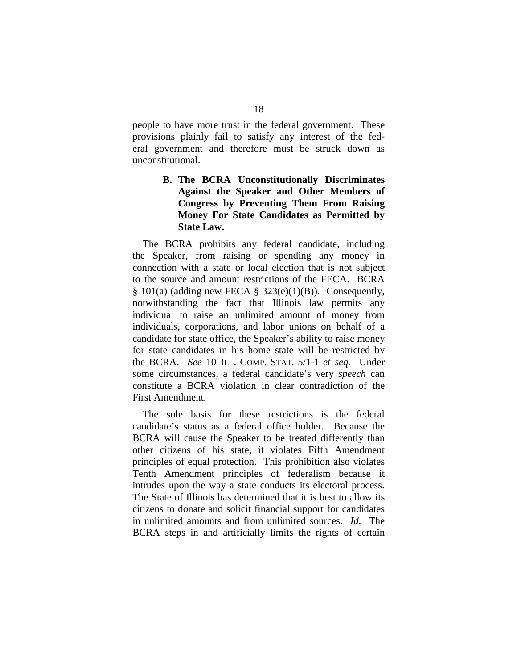people to have more trust in the federal government. These provisions plainly fail to satisfy any interest of the federal government and therefore must be struck down as unconstitutional.

## **B. The BCRA Unconstitutionally Discriminates Against the Speaker and Other Members of Congress by Preventing Them From Raising Money For State Candidates as Permitted by State Law.**

The BCRA prohibits any federal candidate, including the Speaker, from raising or spending any money in connection with a state or local election that is not subject to the source and amount restrictions of the FECA. BCRA  $§ 101(a)$  (adding new FECA § 323(e)(1)(B)). Consequently, notwithstanding the fact that Illinois law permits any individual to raise an unlimited amount of money from individuals, corporations, and labor unions on behalf of a candidate for state office, the Speaker's ability to raise money for state candidates in his home state will be restricted by the BCRA. *See* 10 ILL. COMP. STAT. 5/1-1 *et seq.* Under some circumstances, a federal candidate's very *speech* can constitute a BCRA violation in clear contradiction of the First Amendment.

The sole basis for these restrictions is the federal candidate's status as a federal office holder. Because the BCRA will cause the Speaker to be treated differently than other citizens of his state, it violates Fifth Amendment principles of equal protection. This prohibition also violates Tenth Amendment principles of federalism because it intrudes upon the way a state conducts its electoral process. The State of Illinois has determined that it is best to allow its citizens to donate and solicit financial support for candidates in unlimited amounts and from unlimited sources. *Id.* The BCRA steps in and artificially limits the rights of certain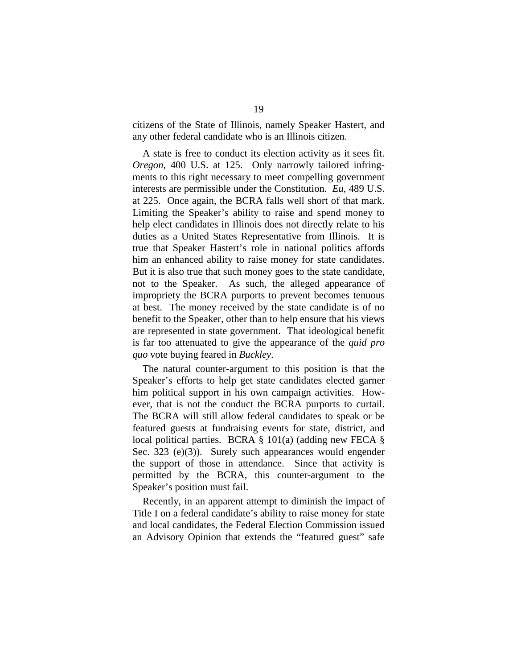citizens of the State of Illinois, namely Speaker Hastert, and any other federal candidate who is an Illinois citizen.

A state is free to conduct its election activity as it sees fit. *Oregon*, 400 U.S. at 125. Only narrowly tailored infringments to this right necessary to meet compelling government interests are permissible under the Constitution. *Eu*, 489 U.S. at 225. Once again, the BCRA falls well short of that mark. Limiting the Speaker's ability to raise and spend money to help elect candidates in Illinois does not directly relate to his duties as a United States Representative from Illinois. It is true that Speaker Hastert's role in national politics affords him an enhanced ability to raise money for state candidates. But it is also true that such money goes to the state candidate, not to the Speaker. As such, the alleged appearance of impropriety the BCRA purports to prevent becomes tenuous at best. The money received by the state candidate is of no benefit to the Speaker, other than to help ensure that his views are represented in state government. That ideological benefit is far too attenuated to give the appearance of the *quid pro quo* vote buying feared in *Buckley*.

The natural counter-argument to this position is that the Speaker's efforts to help get state candidates elected garner him political support in his own campaign activities. However, that is not the conduct the BCRA purports to curtail. The BCRA will still allow federal candidates to speak or be featured guests at fundraising events for state, district, and local political parties. BCRA § 101(a) (adding new FECA § Sec. 323 (e)(3)). Surely such appearances would engender the support of those in attendance. Since that activity is permitted by the BCRA, this counter-argument to the Speaker's position must fail.

Recently, in an apparent attempt to diminish the impact of Title I on a federal candidate's ability to raise money for state and local candidates, the Federal Election Commission issued an Advisory Opinion that extends the "featured guest" safe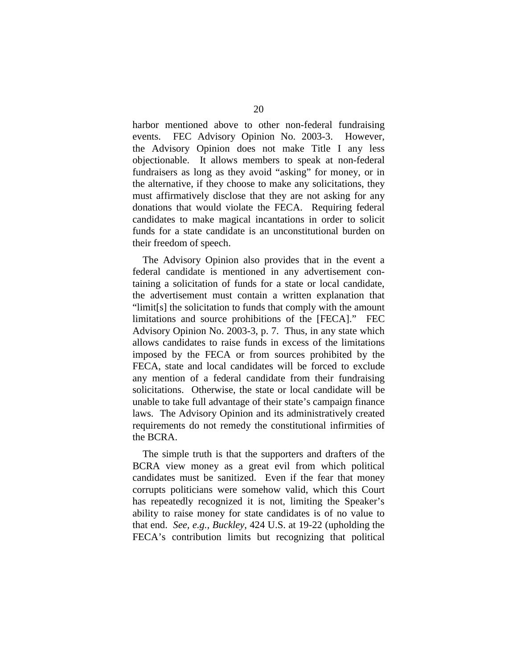harbor mentioned above to other non-federal fundraising events. FEC Advisory Opinion No. 2003-3. However, the Advisory Opinion does not make Title I any less objectionable. It allows members to speak at non-federal fundraisers as long as they avoid "asking" for money, or in the alternative, if they choose to make any solicitations, they must affirmatively disclose that they are not asking for any donations that would violate the FECA. Requiring federal candidates to make magical incantations in order to solicit funds for a state candidate is an unconstitutional burden on their freedom of speech.

The Advisory Opinion also provides that in the event a federal candidate is mentioned in any advertisement containing a solicitation of funds for a state or local candidate, the advertisement must contain a written explanation that "limit[s] the solicitation to funds that comply with the amount limitations and source prohibitions of the [FECA]." FEC Advisory Opinion No. 2003-3, p. 7. Thus, in any state which allows candidates to raise funds in excess of the limitations imposed by the FECA or from sources prohibited by the FECA, state and local candidates will be forced to exclude any mention of a federal candidate from their fundraising solicitations. Otherwise, the state or local candidate will be unable to take full advantage of their state's campaign finance laws. The Advisory Opinion and its administratively created requirements do not remedy the constitutional infirmities of the BCRA.

The simple truth is that the supporters and drafters of the BCRA view money as a great evil from which political candidates must be sanitized. Even if the fear that money corrupts politicians were somehow valid, which this Court has repeatedly recognized it is not, limiting the Speaker's ability to raise money for state candidates is of no value to that end. *See, e.g., Buckley*, 424 U.S. at 19-22 (upholding the FECA's contribution limits but recognizing that political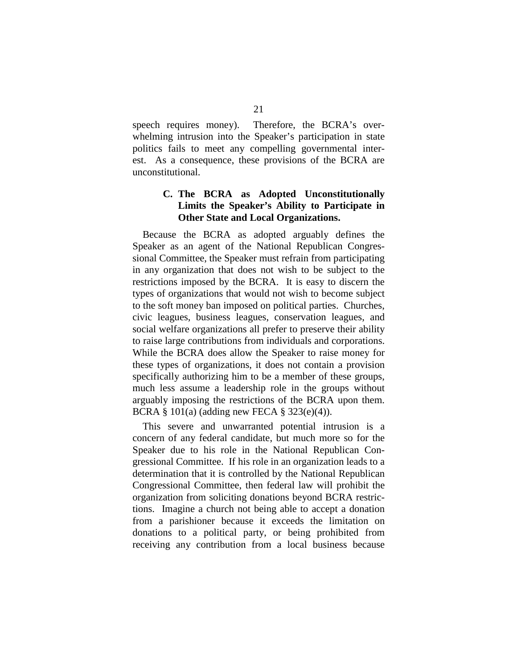speech requires money). Therefore, the BCRA's overwhelming intrusion into the Speaker's participation in state politics fails to meet any compelling governmental interest. As a consequence, these provisions of the BCRA are unconstitutional.

## **C. The BCRA as Adopted Unconstitutionally Limits the Speaker's Ability to Participate in Other State and Local Organizations.**

Because the BCRA as adopted arguably defines the Speaker as an agent of the National Republican Congressional Committee, the Speaker must refrain from participating in any organization that does not wish to be subject to the restrictions imposed by the BCRA. It is easy to discern the types of organizations that would not wish to become subject to the soft money ban imposed on political parties. Churches, civic leagues, business leagues, conservation leagues, and social welfare organizations all prefer to preserve their ability to raise large contributions from individuals and corporations. While the BCRA does allow the Speaker to raise money for these types of organizations, it does not contain a provision specifically authorizing him to be a member of these groups, much less assume a leadership role in the groups without arguably imposing the restrictions of the BCRA upon them. BCRA § 101(a) (adding new FECA § 323(e)(4)).

This severe and unwarranted potential intrusion is a concern of any federal candidate, but much more so for the Speaker due to his role in the National Republican Congressional Committee. If his role in an organization leads to a determination that it is controlled by the National Republican Congressional Committee, then federal law will prohibit the organization from soliciting donations beyond BCRA restrictions. Imagine a church not being able to accept a donation from a parishioner because it exceeds the limitation on donations to a political party, or being prohibited from receiving any contribution from a local business because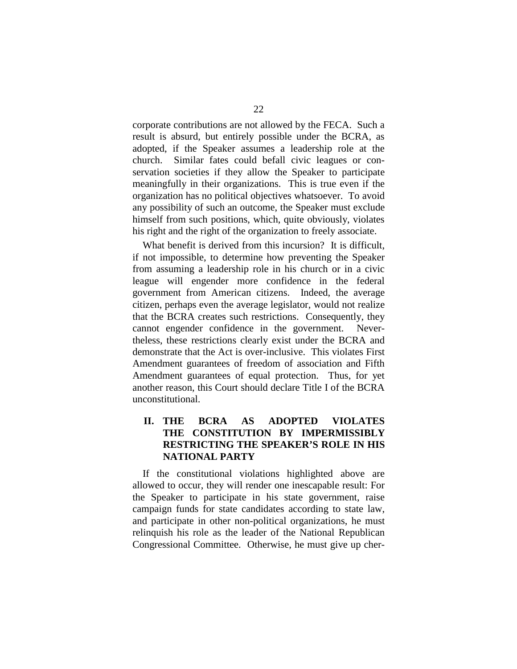corporate contributions are not allowed by the FECA. Such a result is absurd, but entirely possible under the BCRA, as adopted, if the Speaker assumes a leadership role at the church. Similar fates could befall civic leagues or conservation societies if they allow the Speaker to participate meaningfully in their organizations. This is true even if the organization has no political objectives whatsoever. To avoid any possibility of such an outcome, the Speaker must exclude himself from such positions, which, quite obviously, violates his right and the right of the organization to freely associate.

What benefit is derived from this incursion? It is difficult, if not impossible, to determine how preventing the Speaker from assuming a leadership role in his church or in a civic league will engender more confidence in the federal government from American citizens. Indeed, the average citizen, perhaps even the average legislator, would not realize that the BCRA creates such restrictions. Consequently, they cannot engender confidence in the government. Nevertheless, these restrictions clearly exist under the BCRA and demonstrate that the Act is over-inclusive. This violates First Amendment guarantees of freedom of association and Fifth Amendment guarantees of equal protection. Thus, for yet another reason, this Court should declare Title I of the BCRA unconstitutional.

## **II. THE BCRA AS ADOPTED VIOLATES THE CONSTITUTION BY IMPERMISSIBLY RESTRICTING THE SPEAKER'S ROLE IN HIS NATIONAL PARTY**

If the constitutional violations highlighted above are allowed to occur, they will render one inescapable result: For the Speaker to participate in his state government, raise campaign funds for state candidates according to state law, and participate in other non-political organizations, he must relinquish his role as the leader of the National Republican Congressional Committee. Otherwise, he must give up cher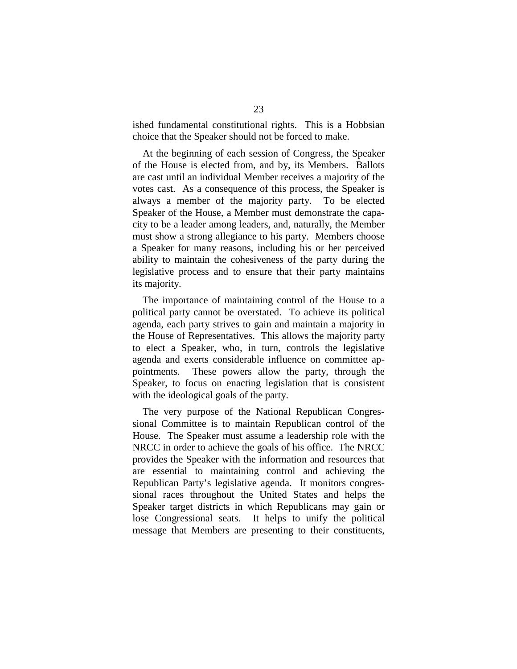ished fundamental constitutional rights. This is a Hobbsian choice that the Speaker should not be forced to make.

At the beginning of each session of Congress, the Speaker of the House is elected from, and by, its Members. Ballots are cast until an individual Member receives a majority of the votes cast. As a consequence of this process, the Speaker is always a member of the majority party. To be elected Speaker of the House, a Member must demonstrate the capacity to be a leader among leaders, and, naturally, the Member must show a strong allegiance to his party. Members choose a Speaker for many reasons, including his or her perceived ability to maintain the cohesiveness of the party during the legislative process and to ensure that their party maintains its majority.

The importance of maintaining control of the House to a political party cannot be overstated. To achieve its political agenda, each party strives to gain and maintain a majority in the House of Representatives. This allows the majority party to elect a Speaker, who, in turn, controls the legislative agenda and exerts considerable influence on committee appointments. These powers allow the party, through the Speaker, to focus on enacting legislation that is consistent with the ideological goals of the party.

The very purpose of the National Republican Congressional Committee is to maintain Republican control of the House. The Speaker must assume a leadership role with the NRCC in order to achieve the goals of his office. The NRCC provides the Speaker with the information and resources that are essential to maintaining control and achieving the Republican Party's legislative agenda. It monitors congressional races throughout the United States and helps the Speaker target districts in which Republicans may gain or lose Congressional seats. It helps to unify the political message that Members are presenting to their constituents,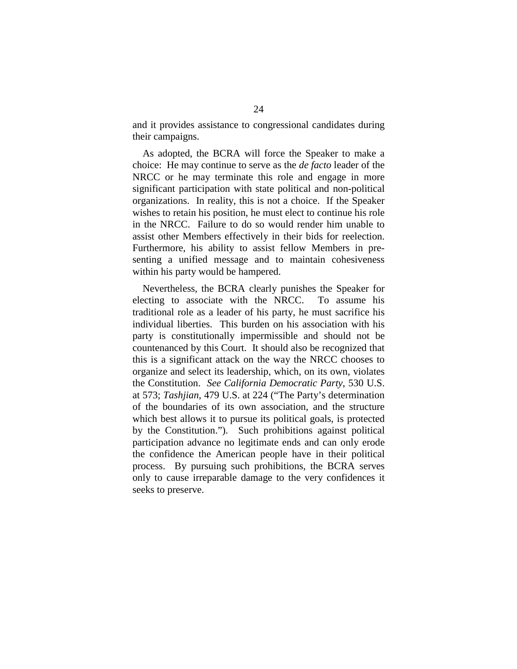and it provides assistance to congressional candidates during their campaigns.

As adopted, the BCRA will force the Speaker to make a choice: He may continue to serve as the *de facto* leader of the NRCC or he may terminate this role and engage in more significant participation with state political and non-political organizations. In reality, this is not a choice. If the Speaker wishes to retain his position, he must elect to continue his role in the NRCC. Failure to do so would render him unable to assist other Members effectively in their bids for reelection. Furthermore, his ability to assist fellow Members in presenting a unified message and to maintain cohesiveness within his party would be hampered.

Nevertheless, the BCRA clearly punishes the Speaker for electing to associate with the NRCC. To assume his traditional role as a leader of his party, he must sacrifice his individual liberties. This burden on his association with his party is constitutionally impermissible and should not be countenanced by this Court. It should also be recognized that this is a significant attack on the way the NRCC chooses to organize and select its leadership, which, on its own, violates the Constitution. *See California Democratic Party*, 530 U.S. at 573; *Tashjian*, 479 U.S. at 224 ("The Party's determination of the boundaries of its own association, and the structure which best allows it to pursue its political goals, is protected by the Constitution."). Such prohibitions against political participation advance no legitimate ends and can only erode the confidence the American people have in their political process. By pursuing such prohibitions, the BCRA serves only to cause irreparable damage to the very confidences it seeks to preserve.